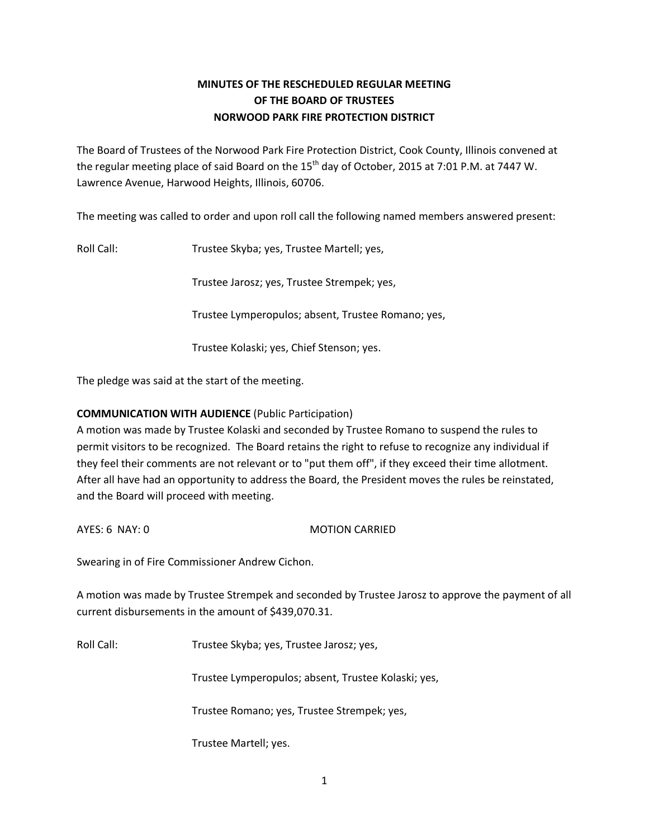# **MINUTES OF THE RESCHEDULED REGULAR MEETING OF THE BOARD OF TRUSTEES NORWOOD PARK FIRE PROTECTION DISTRICT**

The Board of Trustees of the Norwood Park Fire Protection District, Cook County, Illinois convened at the regular meeting place of said Board on the 15<sup>th</sup> day of October, 2015 at 7:01 P.M. at 7447 W. Lawrence Avenue, Harwood Heights, Illinois, 60706.

The meeting was called to order and upon roll call the following named members answered present:

Roll Call: Trustee Skyba; yes, Trustee Martell; yes,

Trustee Jarosz; yes, Trustee Strempek; yes,

Trustee Lymperopulos; absent, Trustee Romano; yes,

Trustee Kolaski; yes, Chief Stenson; yes.

The pledge was said at the start of the meeting.

# **COMMUNICATION WITH AUDIENCE** (Public Participation)

A motion was made by Trustee Kolaski and seconded by Trustee Romano to suspend the rules to permit visitors to be recognized. The Board retains the right to refuse to recognize any individual if they feel their comments are not relevant or to "put them off", if they exceed their time allotment. After all have had an opportunity to address the Board, the President moves the rules be reinstated, and the Board will proceed with meeting.

AYES: 6 NAY: 0 MOTION CARRIED

Swearing in of Fire Commissioner Andrew Cichon.

A motion was made by Trustee Strempek and seconded by Trustee Jarosz to approve the payment of all current disbursements in the amount of \$439,070.31.

Roll Call: Trustee Skyba; yes, Trustee Jarosz; yes,

Trustee Lymperopulos; absent, Trustee Kolaski; yes,

Trustee Romano; yes, Trustee Strempek; yes,

Trustee Martell; yes.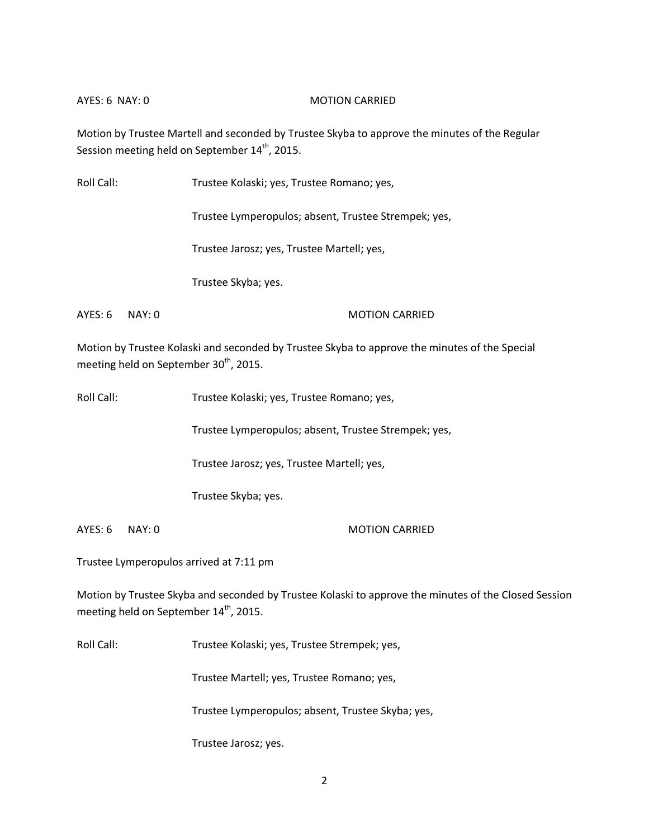#### AYES: 6 NAY: 0 MOTION CARRIED

Motion by Trustee Martell and seconded by Trustee Skyba to approve the minutes of the Regular Session meeting held on September 14<sup>th</sup>, 2015.

| Roll Call: |       | Trustee Kolaski; yes, Trustee Romano; yes,           |
|------------|-------|------------------------------------------------------|
|            |       | Trustee Lymperopulos; absent, Trustee Strempek; yes, |
|            |       | Trustee Jarosz; yes, Trustee Martell; yes,           |
|            |       | Trustee Skyba; yes.                                  |
| AYES: 6    | NAY:0 | <b>MOTION CARRIED</b>                                |

Motion by Trustee Kolaski and seconded by Trustee Skyba to approve the minutes of the Special meeting held on September 30<sup>th</sup>, 2015.

Roll Call: Trustee Kolaski; yes, Trustee Romano; yes,

Trustee Lymperopulos; absent, Trustee Strempek; yes,

Trustee Jarosz; yes, Trustee Martell; yes,

Trustee Skyba; yes.

AYES: 6 NAY: 0 MOTION CARRIED

Trustee Lymperopulos arrived at 7:11 pm

Motion by Trustee Skyba and seconded by Trustee Kolaski to approve the minutes of the Closed Session meeting held on September 14<sup>th</sup>, 2015.

Roll Call: Trustee Kolaski; yes, Trustee Strempek; yes,

Trustee Martell; yes, Trustee Romano; yes,

Trustee Lymperopulos; absent, Trustee Skyba; yes,

Trustee Jarosz; yes.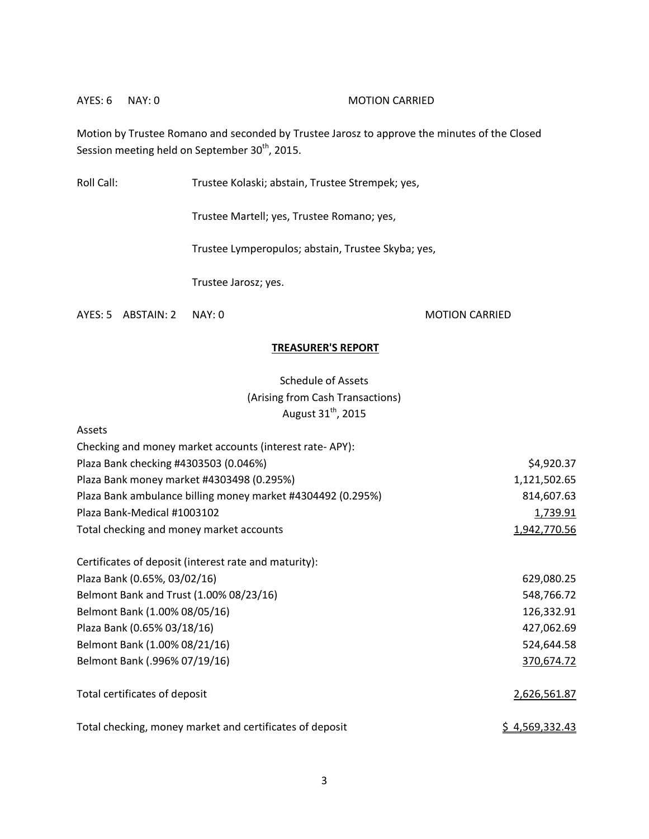#### AYES: 6 NAY: 0 MOTION CARRIED

Motion by Trustee Romano and seconded by Trustee Jarosz to approve the minutes of the Closed Session meeting held on September 30<sup>th</sup>, 2015.

Roll Call: Trustee Kolaski; abstain, Trustee Strempek; yes,

Trustee Martell; yes, Trustee Romano; yes,

Trustee Lymperopulos; abstain, Trustee Skyba; yes,

Trustee Jarosz; yes.

AYES: 5 ABSTAIN: 2 NAY: 0 MOTION CARRIED

Assets

### **TREASURER'S REPORT**

Schedule of Assets (Arising from Cash Transactions) August  $31<sup>th</sup>$ , 2015

| Checking and money market accounts (interest rate-APY):     |                |
|-------------------------------------------------------------|----------------|
| Plaza Bank checking #4303503 (0.046%)                       | \$4,920.37     |
| Plaza Bank money market #4303498 (0.295%)                   | 1,121,502.65   |
| Plaza Bank ambulance billing money market #4304492 (0.295%) | 814,607.63     |
| Plaza Bank-Medical #1003102                                 | 1,739.91       |
| Total checking and money market accounts                    | 1,942,770.56   |
| Certificates of deposit (interest rate and maturity):       |                |
| Plaza Bank (0.65%, 03/02/16)                                | 629,080.25     |
| Belmont Bank and Trust (1.00% 08/23/16)                     | 548,766.72     |
| Belmont Bank (1.00% 08/05/16)                               | 126,332.91     |
| Plaza Bank (0.65% 03/18/16)                                 | 427,062.69     |
| Belmont Bank (1.00% 08/21/16)                               | 524,644.58     |
| Belmont Bank (.996% 07/19/16)                               | 370,674.72     |
| Total certificates of deposit                               | 2,626,561.87   |
| Total checking, money market and certificates of deposit    | \$4,569,332.43 |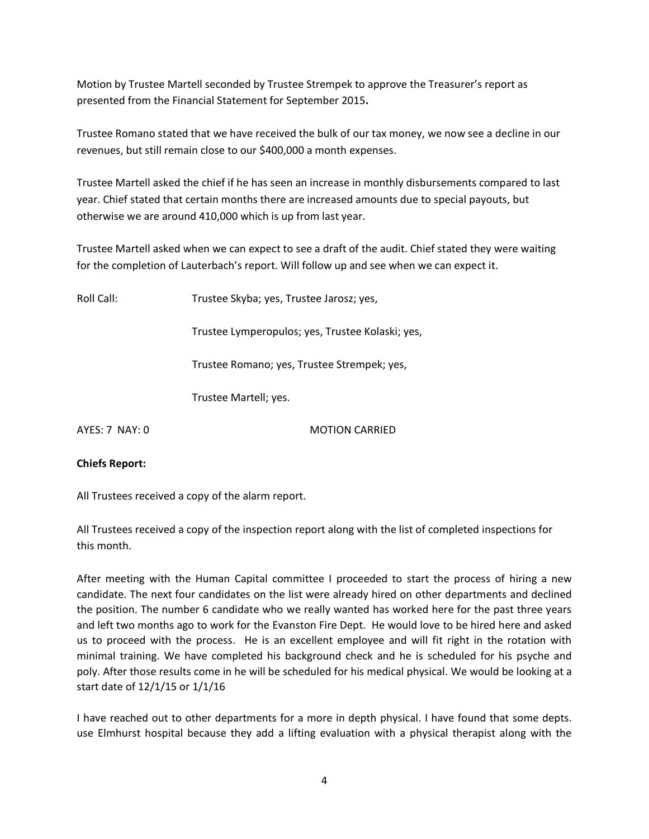Motion by Trustee Martell seconded by Trustee Strempek to approve the Treasurer's report as presented from the Financial Statement for September 2015**.** 

Trustee Romano stated that we have received the bulk of our tax money, we now see a decline in our revenues, but still remain close to our \$400,000 a month expenses.

Trustee Martell asked the chief if he has seen an increase in monthly disbursements compared to last year. Chief stated that certain months there are increased amounts due to special payouts, but otherwise we are around 410,000 which is up from last year.

Trustee Martell asked when we can expect to see a draft of the audit. Chief stated they were waiting for the completion of Lauterbach's report. Will follow up and see when we can expect it.

Roll Call: Trustee Skyba; yes, Trustee Jarosz; yes,

Trustee Lymperopulos; yes, Trustee Kolaski; yes,

Trustee Romano; yes, Trustee Strempek; yes,

Trustee Martell; yes.

AYES: 7 NAY: 0 MOTION CARRIED

# **Chiefs Report:**

All Trustees received a copy of the alarm report.

All Trustees received a copy of the inspection report along with the list of completed inspections for this month.

After meeting with the Human Capital committee I proceeded to start the process of hiring a new candidate. The next four candidates on the list were already hired on other departments and declined the position. The number 6 candidate who we really wanted has worked here for the past three years and left two months ago to work for the Evanston Fire Dept. He would love to be hired here and asked us to proceed with the process. He is an excellent employee and will fit right in the rotation with minimal training. We have completed his background check and he is scheduled for his psyche and poly. After those results come in he will be scheduled for his medical physical. We would be looking at a start date of 12/1/15 or 1/1/16

I have reached out to other departments for a more in depth physical. I have found that some depts. use Elmhurst hospital because they add a lifting evaluation with a physical therapist along with the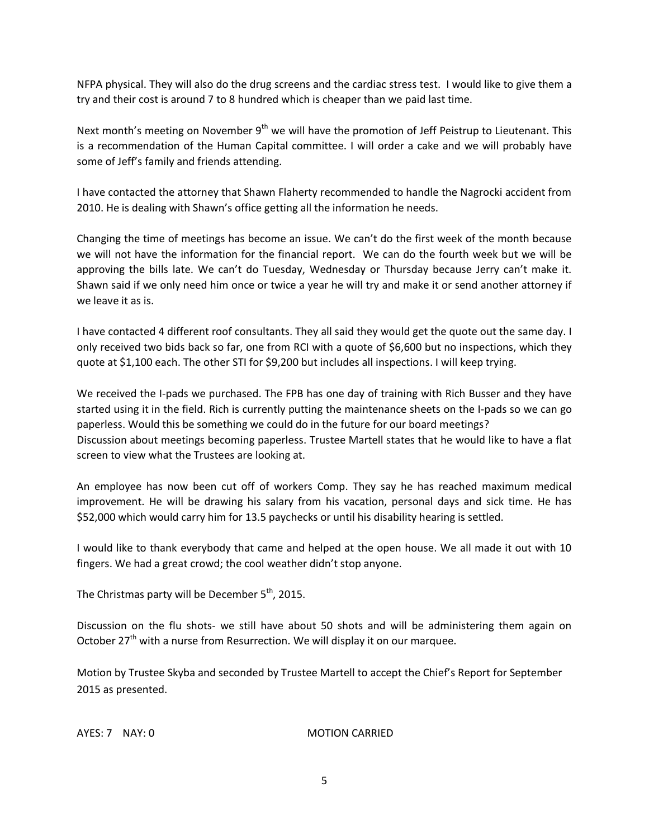NFPA physical. They will also do the drug screens and the cardiac stress test. I would like to give them a try and their cost is around 7 to 8 hundred which is cheaper than we paid last time.

Next month's meeting on November  $9<sup>th</sup>$  we will have the promotion of Jeff Peistrup to Lieutenant. This is a recommendation of the Human Capital committee. I will order a cake and we will probably have some of Jeff's family and friends attending.

I have contacted the attorney that Shawn Flaherty recommended to handle the Nagrocki accident from 2010. He is dealing with Shawn's office getting all the information he needs.

Changing the time of meetings has become an issue. We can't do the first week of the month because we will not have the information for the financial report. We can do the fourth week but we will be approving the bills late. We can't do Tuesday, Wednesday or Thursday because Jerry can't make it. Shawn said if we only need him once or twice a year he will try and make it or send another attorney if we leave it as is.

I have contacted 4 different roof consultants. They all said they would get the quote out the same day. I only received two bids back so far, one from RCI with a quote of \$6,600 but no inspections, which they quote at \$1,100 each. The other STI for \$9,200 but includes all inspections. I will keep trying.

We received the I-pads we purchased. The FPB has one day of training with Rich Busser and they have started using it in the field. Rich is currently putting the maintenance sheets on the I-pads so we can go paperless. Would this be something we could do in the future for our board meetings? Discussion about meetings becoming paperless. Trustee Martell states that he would like to have a flat screen to view what the Trustees are looking at.

An employee has now been cut off of workers Comp. They say he has reached maximum medical improvement. He will be drawing his salary from his vacation, personal days and sick time. He has \$52,000 which would carry him for 13.5 paychecks or until his disability hearing is settled.

I would like to thank everybody that came and helped at the open house. We all made it out with 10 fingers. We had a great crowd; the cool weather didn't stop anyone.

The Christmas party will be December  $5<sup>th</sup>$ , 2015.

Discussion on the flu shots- we still have about 50 shots and will be administering them again on October 27<sup>th</sup> with a nurse from Resurrection. We will display it on our marquee.

Motion by Trustee Skyba and seconded by Trustee Martell to accept the Chief's Report for September 2015 as presented.

#### AYES: 7 NAY: 0 MOTION CARRIED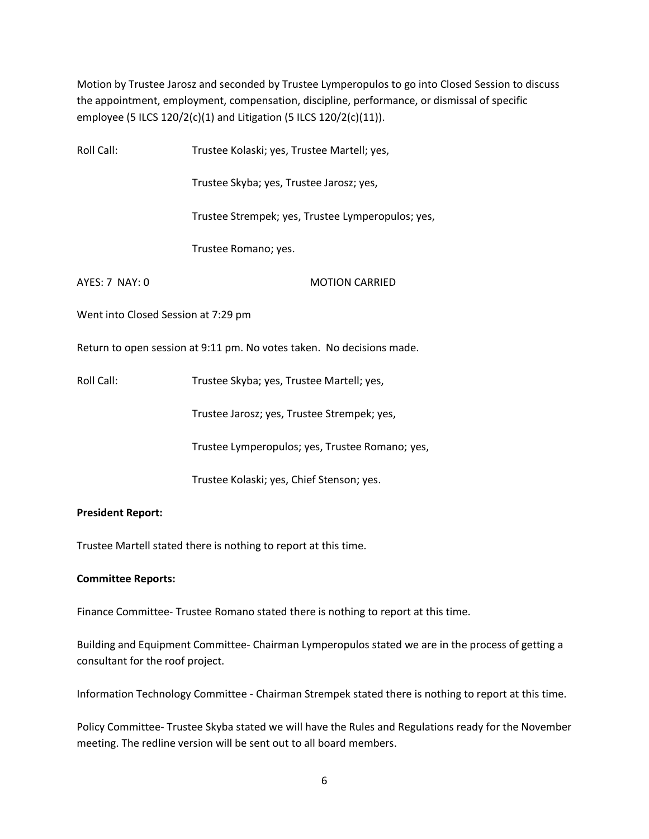Motion by Trustee Jarosz and seconded by Trustee Lymperopulos to go into Closed Session to discuss the appointment, employment, compensation, discipline, performance, or dismissal of specific employee (5 ILCS 120/2(c)(1) and Litigation (5 ILCS 120/2(c)(11)).

| Roll Call:                          | Trustee Kolaski; yes, Trustee Martell; yes,                           |
|-------------------------------------|-----------------------------------------------------------------------|
|                                     | Trustee Skyba; yes, Trustee Jarosz; yes,                              |
|                                     | Trustee Strempek; yes, Trustee Lymperopulos; yes,                     |
|                                     | Trustee Romano; yes.                                                  |
| AYES: 7 NAY: 0                      | <b>MOTION CARRIED</b>                                                 |
| Went into Closed Session at 7:29 pm |                                                                       |
|                                     | Return to open session at 9:11 pm. No votes taken. No decisions made. |
| Roll Call:                          | Trustee Skyba; yes, Trustee Martell; yes,                             |
|                                     | Trustee Jarosz; yes, Trustee Strempek; yes,                           |
|                                     | Trustee Lymperopulos; yes, Trustee Romano; yes,                       |
|                                     | Trustee Kolaski; yes, Chief Stenson; yes.                             |
|                                     |                                                                       |

# **President Report:**

Trustee Martell stated there is nothing to report at this time.

#### **Committee Reports:**

Finance Committee- Trustee Romano stated there is nothing to report at this time.

Building and Equipment Committee- Chairman Lymperopulos stated we are in the process of getting a consultant for the roof project.

Information Technology Committee - Chairman Strempek stated there is nothing to report at this time.

Policy Committee- Trustee Skyba stated we will have the Rules and Regulations ready for the November meeting. The redline version will be sent out to all board members.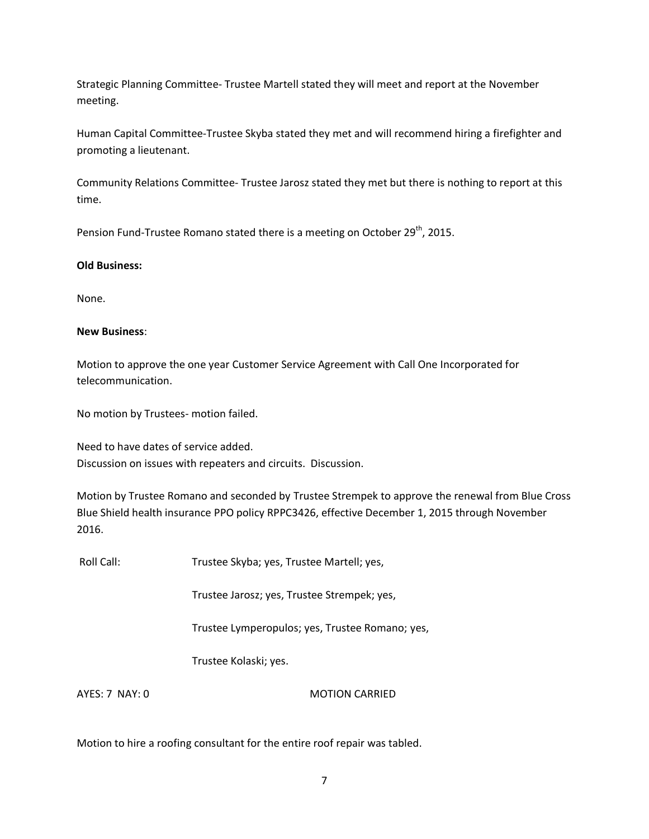Strategic Planning Committee- Trustee Martell stated they will meet and report at the November meeting.

Human Capital Committee-Trustee Skyba stated they met and will recommend hiring a firefighter and promoting a lieutenant.

Community Relations Committee- Trustee Jarosz stated they met but there is nothing to report at this time.

Pension Fund-Trustee Romano stated there is a meeting on October 29<sup>th</sup>, 2015.

# **Old Business:**

None.

### **New Business**:

Motion to approve the one year Customer Service Agreement with Call One Incorporated for telecommunication.

No motion by Trustees- motion failed.

Need to have dates of service added. Discussion on issues with repeaters and circuits. Discussion.

Motion by Trustee Romano and seconded by Trustee Strempek to approve the renewal from Blue Cross Blue Shield health insurance PPO policy RPPC3426, effective December 1, 2015 through November 2016.

Roll Call: Trustee Skyba; yes, Trustee Martell; yes,

Trustee Jarosz; yes, Trustee Strempek; yes,

Trustee Lymperopulos; yes, Trustee Romano; yes,

Trustee Kolaski; yes.

AYES: 7 NAY: 0 MOTION CARRIED

Motion to hire a roofing consultant for the entire roof repair was tabled.